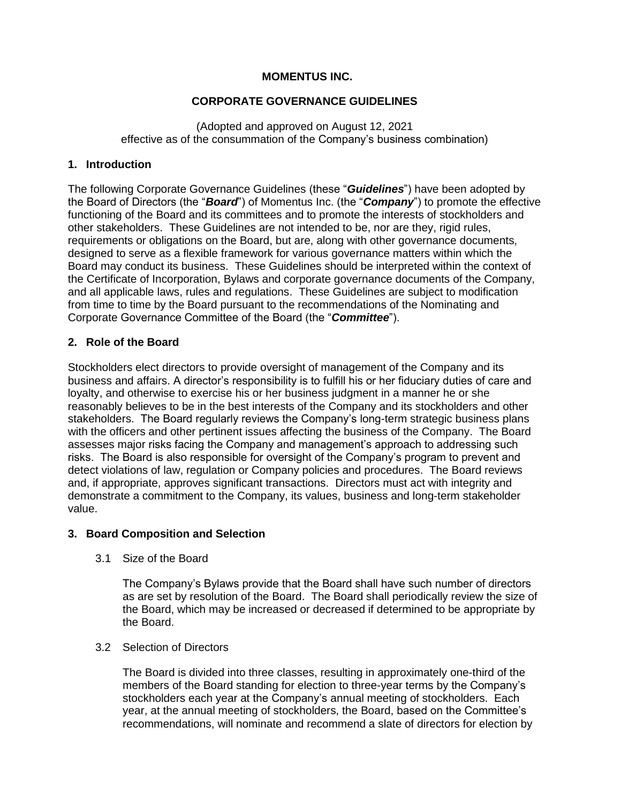## **MOMENTUS INC.**

## **CORPORATE GOVERNANCE GUIDELINES**

(Adopted and approved on August 12, 2021 effective as of the consummation of the Company's business combination)

## **1. Introduction**

The following Corporate Governance Guidelines (these "*Guidelines*") have been adopted by the Board of Directors (the "*Board*") of Momentus Inc. (the "*Company*") to promote the effective functioning of the Board and its committees and to promote the interests of stockholders and other stakeholders. These Guidelines are not intended to be, nor are they, rigid rules, requirements or obligations on the Board, but are, along with other governance documents, designed to serve as a flexible framework for various governance matters within which the Board may conduct its business. These Guidelines should be interpreted within the context of the Certificate of Incorporation, Bylaws and corporate governance documents of the Company, and all applicable laws, rules and regulations. These Guidelines are subject to modification from time to time by the Board pursuant to the recommendations of the Nominating and Corporate Governance Committee of the Board (the "*Committee*").

## **2. Role of the Board**

Stockholders elect directors to provide oversight of management of the Company and its business and affairs. A director's responsibility is to fulfill his or her fiduciary duties of care and loyalty, and otherwise to exercise his or her business judgment in a manner he or she reasonably believes to be in the best interests of the Company and its stockholders and other stakeholders. The Board regularly reviews the Company's long-term strategic business plans with the officers and other pertinent issues affecting the business of the Company. The Board assesses major risks facing the Company and management's approach to addressing such risks. The Board is also responsible for oversight of the Company's program to prevent and detect violations of law, regulation or Company policies and procedures. The Board reviews and, if appropriate, approves significant transactions. Directors must act with integrity and demonstrate a commitment to the Company, its values, business and long-term stakeholder value.

## **3. Board Composition and Selection**

3.1 Size of the Board

The Company's Bylaws provide that the Board shall have such number of directors as are set by resolution of the Board. The Board shall periodically review the size of the Board, which may be increased or decreased if determined to be appropriate by the Board.

## 3.2 Selection of Directors

The Board is divided into three classes, resulting in approximately one-third of the members of the Board standing for election to three-year terms by the Company's stockholders each year at the Company's annual meeting of stockholders. Each year, at the annual meeting of stockholders, the Board, based on the Committee's recommendations, will nominate and recommend a slate of directors for election by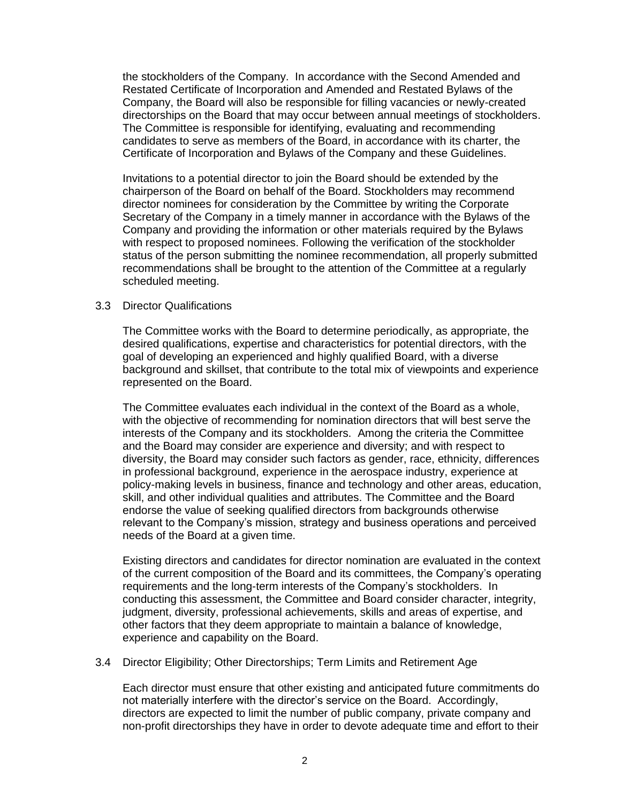the stockholders of the Company. In accordance with the Second Amended and Restated Certificate of Incorporation and Amended and Restated Bylaws of the Company, the Board will also be responsible for filling vacancies or newly-created directorships on the Board that may occur between annual meetings of stockholders. The Committee is responsible for identifying, evaluating and recommending candidates to serve as members of the Board, in accordance with its charter, the Certificate of Incorporation and Bylaws of the Company and these Guidelines.

Invitations to a potential director to join the Board should be extended by the chairperson of the Board on behalf of the Board. Stockholders may recommend director nominees for consideration by the Committee by writing the Corporate Secretary of the Company in a timely manner in accordance with the Bylaws of the Company and providing the information or other materials required by the Bylaws with respect to proposed nominees. Following the verification of the stockholder status of the person submitting the nominee recommendation, all properly submitted recommendations shall be brought to the attention of the Committee at a regularly scheduled meeting.

#### 3.3 Director Qualifications

The Committee works with the Board to determine periodically, as appropriate, the desired qualifications, expertise and characteristics for potential directors, with the goal of developing an experienced and highly qualified Board, with a diverse background and skillset, that contribute to the total mix of viewpoints and experience represented on the Board.

The Committee evaluates each individual in the context of the Board as a whole, with the objective of recommending for nomination directors that will best serve the interests of the Company and its stockholders. Among the criteria the Committee and the Board may consider are experience and diversity; and with respect to diversity, the Board may consider such factors as gender, race, ethnicity, differences in professional background, experience in the aerospace industry, experience at policy-making levels in business, finance and technology and other areas, education, skill, and other individual qualities and attributes. The Committee and the Board endorse the value of seeking qualified directors from backgrounds otherwise relevant to the Company's mission, strategy and business operations and perceived needs of the Board at a given time.

Existing directors and candidates for director nomination are evaluated in the context of the current composition of the Board and its committees, the Company's operating requirements and the long-term interests of the Company's stockholders. In conducting this assessment, the Committee and Board consider character, integrity, judgment, diversity, professional achievements, skills and areas of expertise, and other factors that they deem appropriate to maintain a balance of knowledge, experience and capability on the Board.

#### 3.4 Director Eligibility; Other Directorships; Term Limits and Retirement Age

Each director must ensure that other existing and anticipated future commitments do not materially interfere with the director's service on the Board. Accordingly, directors are expected to limit the number of public company, private company and non-profit directorships they have in order to devote adequate time and effort to their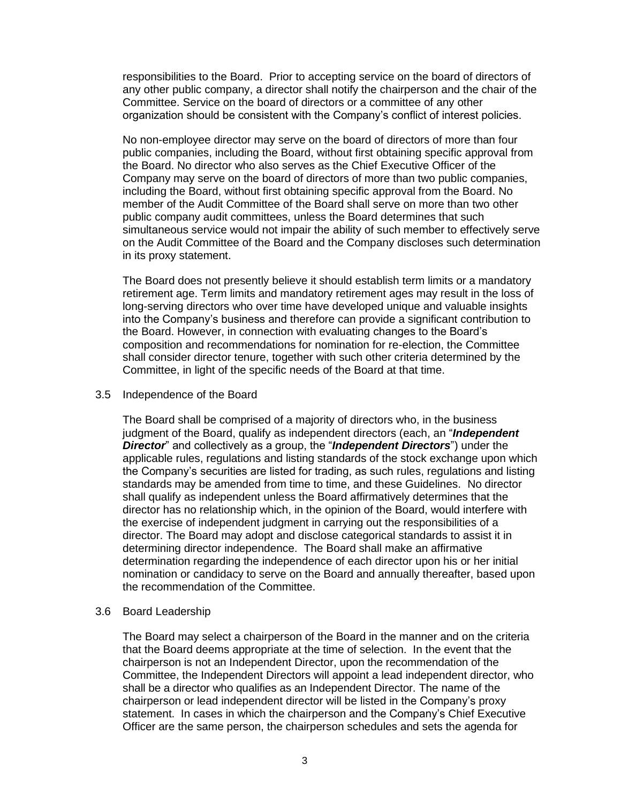responsibilities to the Board. Prior to accepting service on the board of directors of any other public company, a director shall notify the chairperson and the chair of the Committee. Service on the board of directors or a committee of any other organization should be consistent with the Company's conflict of interest policies.

No non-employee director may serve on the board of directors of more than four public companies, including the Board, without first obtaining specific approval from the Board. No director who also serves as the Chief Executive Officer of the Company may serve on the board of directors of more than two public companies, including the Board, without first obtaining specific approval from the Board. No member of the Audit Committee of the Board shall serve on more than two other public company audit committees, unless the Board determines that such simultaneous service would not impair the ability of such member to effectively serve on the Audit Committee of the Board and the Company discloses such determination in its proxy statement.

The Board does not presently believe it should establish term limits or a mandatory retirement age. Term limits and mandatory retirement ages may result in the loss of long-serving directors who over time have developed unique and valuable insights into the Company's business and therefore can provide a significant contribution to the Board. However, in connection with evaluating changes to the Board's composition and recommendations for nomination for re-election, the Committee shall consider director tenure, together with such other criteria determined by the Committee, in light of the specific needs of the Board at that time.

#### 3.5 Independence of the Board

The Board shall be comprised of a majority of directors who, in the business judgment of the Board, qualify as independent directors (each, an "*Independent Director*" and collectively as a group, the "*Independent Directors*") under the applicable rules, regulations and listing standards of the stock exchange upon which the Company's securities are listed for trading, as such rules, regulations and listing standards may be amended from time to time, and these Guidelines. No director shall qualify as independent unless the Board affirmatively determines that the director has no relationship which, in the opinion of the Board, would interfere with the exercise of independent judgment in carrying out the responsibilities of a director. The Board may adopt and disclose categorical standards to assist it in determining director independence. The Board shall make an affirmative determination regarding the independence of each director upon his or her initial nomination or candidacy to serve on the Board and annually thereafter, based upon the recommendation of the Committee.

### 3.6 Board Leadership

The Board may select a chairperson of the Board in the manner and on the criteria that the Board deems appropriate at the time of selection. In the event that the chairperson is not an Independent Director, upon the recommendation of the Committee, the Independent Directors will appoint a lead independent director, who shall be a director who qualifies as an Independent Director. The name of the chairperson or lead independent director will be listed in the Company's proxy statement. In cases in which the chairperson and the Company's Chief Executive Officer are the same person, the chairperson schedules and sets the agenda for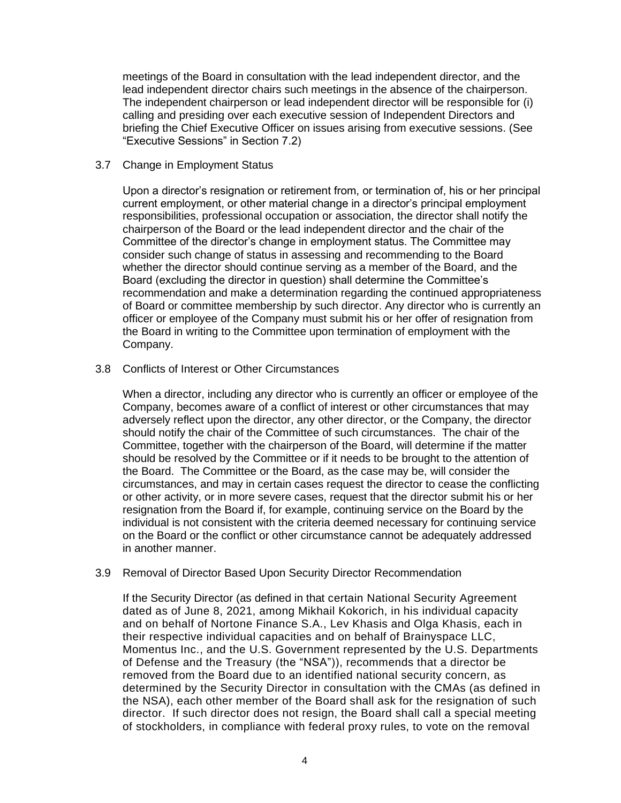meetings of the Board in consultation with the lead independent director, and the lead independent director chairs such meetings in the absence of the chairperson. The independent chairperson or lead independent director will be responsible for (i) calling and presiding over each executive session of Independent Directors and briefing the Chief Executive Officer on issues arising from executive sessions. (See "Executive Sessions" in Section 7.2)

#### 3.7 Change in Employment Status

Upon a director's resignation or retirement from, or termination of, his or her principal current employment, or other material change in a director's principal employment responsibilities, professional occupation or association, the director shall notify the chairperson of the Board or the lead independent director and the chair of the Committee of the director's change in employment status. The Committee may consider such change of status in assessing and recommending to the Board whether the director should continue serving as a member of the Board, and the Board (excluding the director in question) shall determine the Committee's recommendation and make a determination regarding the continued appropriateness of Board or committee membership by such director. Any director who is currently an officer or employee of the Company must submit his or her offer of resignation from the Board in writing to the Committee upon termination of employment with the Company.

3.8 Conflicts of Interest or Other Circumstances

When a director, including any director who is currently an officer or employee of the Company, becomes aware of a conflict of interest or other circumstances that may adversely reflect upon the director, any other director, or the Company, the director should notify the chair of the Committee of such circumstances. The chair of the Committee, together with the chairperson of the Board, will determine if the matter should be resolved by the Committee or if it needs to be brought to the attention of the Board. The Committee or the Board, as the case may be, will consider the circumstances, and may in certain cases request the director to cease the conflicting or other activity, or in more severe cases, request that the director submit his or her resignation from the Board if, for example, continuing service on the Board by the individual is not consistent with the criteria deemed necessary for continuing service on the Board or the conflict or other circumstance cannot be adequately addressed in another manner.

### 3.9 Removal of Director Based Upon Security Director Recommendation

If the Security Director (as defined in that certain National Security Agreement dated as of June 8, 2021, among Mikhail Kokorich, in his individual capacity and on behalf of Nortone Finance S.A., Lev Khasis and Olga Khasis, each in their respective individual capacities and on behalf of Brainyspace LLC, Momentus Inc., and the U.S. Government represented by the U.S. Departments of Defense and the Treasury (the "NSA")), recommends that a director be removed from the Board due to an identified national security concern, as determined by the Security Director in consultation with the CMAs (as defined in the NSA), each other member of the Board shall ask for the resignation of such director. If such director does not resign, the Board shall call a special meeting of stockholders, in compliance with federal proxy rules, to vote on the removal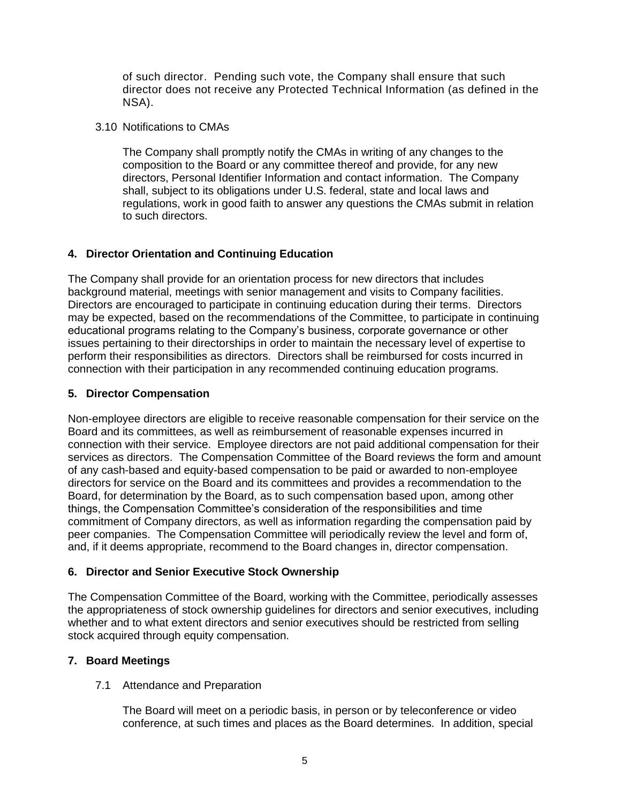of such director. Pending such vote, the Company shall ensure that such director does not receive any Protected Technical Information (as defined in the NSA).

3.10 Notifications to CMAs

The Company shall promptly notify the CMAs in writing of any changes to the composition to the Board or any committee thereof and provide, for any new directors, Personal Identifier Information and contact information. The Company shall, subject to its obligations under U.S. federal, state and local laws and regulations, work in good faith to answer any questions the CMAs submit in relation to such directors.

# **4. Director Orientation and Continuing Education**

The Company shall provide for an orientation process for new directors that includes background material, meetings with senior management and visits to Company facilities. Directors are encouraged to participate in continuing education during their terms. Directors may be expected, based on the recommendations of the Committee, to participate in continuing educational programs relating to the Company's business, corporate governance or other issues pertaining to their directorships in order to maintain the necessary level of expertise to perform their responsibilities as directors. Directors shall be reimbursed for costs incurred in connection with their participation in any recommended continuing education programs.

## **5. Director Compensation**

Non-employee directors are eligible to receive reasonable compensation for their service on the Board and its committees, as well as reimbursement of reasonable expenses incurred in connection with their service. Employee directors are not paid additional compensation for their services as directors. The Compensation Committee of the Board reviews the form and amount of any cash-based and equity-based compensation to be paid or awarded to non-employee directors for service on the Board and its committees and provides a recommendation to the Board, for determination by the Board, as to such compensation based upon, among other things, the Compensation Committee's consideration of the responsibilities and time commitment of Company directors, as well as information regarding the compensation paid by peer companies. The Compensation Committee will periodically review the level and form of, and, if it deems appropriate, recommend to the Board changes in, director compensation.

# **6. Director and Senior Executive Stock Ownership**

The Compensation Committee of the Board, working with the Committee, periodically assesses the appropriateness of stock ownership guidelines for directors and senior executives, including whether and to what extent directors and senior executives should be restricted from selling stock acquired through equity compensation.

# **7. Board Meetings**

7.1 Attendance and Preparation

The Board will meet on a periodic basis, in person or by teleconference or video conference, at such times and places as the Board determines. In addition, special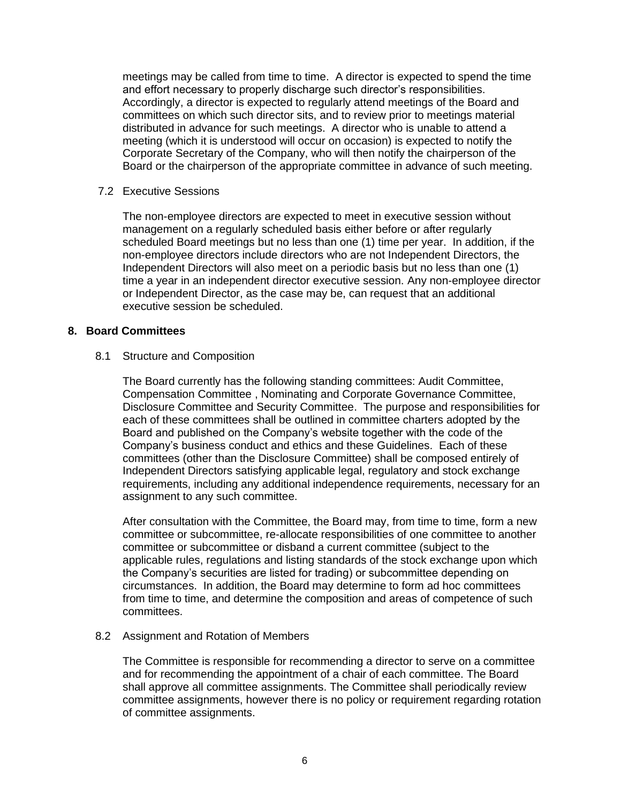meetings may be called from time to time. A director is expected to spend the time and effort necessary to properly discharge such director's responsibilities. Accordingly, a director is expected to regularly attend meetings of the Board and committees on which such director sits, and to review prior to meetings material distributed in advance for such meetings. A director who is unable to attend a meeting (which it is understood will occur on occasion) is expected to notify the Corporate Secretary of the Company, who will then notify the chairperson of the Board or the chairperson of the appropriate committee in advance of such meeting.

7.2 Executive Sessions

The non-employee directors are expected to meet in executive session without management on a regularly scheduled basis either before or after regularly scheduled Board meetings but no less than one (1) time per year. In addition, if the non-employee directors include directors who are not Independent Directors, the Independent Directors will also meet on a periodic basis but no less than one (1) time a year in an independent director executive session. Any non-employee director or Independent Director, as the case may be, can request that an additional executive session be scheduled.

## **8. Board Committees**

### 8.1 Structure and Composition

The Board currently has the following standing committees: Audit Committee, Compensation Committee , Nominating and Corporate Governance Committee, Disclosure Committee and Security Committee. The purpose and responsibilities for each of these committees shall be outlined in committee charters adopted by the Board and published on the Company's website together with the code of the Company's business conduct and ethics and these Guidelines. Each of these committees (other than the Disclosure Committee) shall be composed entirely of Independent Directors satisfying applicable legal, regulatory and stock exchange requirements, including any additional independence requirements, necessary for an assignment to any such committee.

After consultation with the Committee, the Board may, from time to time, form a new committee or subcommittee, re-allocate responsibilities of one committee to another committee or subcommittee or disband a current committee (subject to the applicable rules, regulations and listing standards of the stock exchange upon which the Company's securities are listed for trading) or subcommittee depending on circumstances. In addition, the Board may determine to form ad hoc committees from time to time, and determine the composition and areas of competence of such committees.

### 8.2 Assignment and Rotation of Members

The Committee is responsible for recommending a director to serve on a committee and for recommending the appointment of a chair of each committee. The Board shall approve all committee assignments. The Committee shall periodically review committee assignments, however there is no policy or requirement regarding rotation of committee assignments.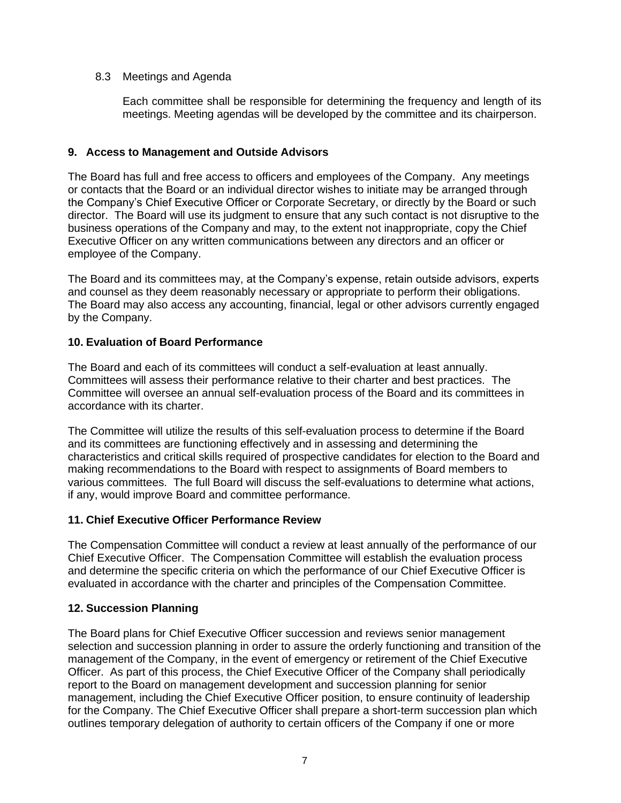## 8.3 Meetings and Agenda

Each committee shall be responsible for determining the frequency and length of its meetings. Meeting agendas will be developed by the committee and its chairperson.

## **9. Access to Management and Outside Advisors**

The Board has full and free access to officers and employees of the Company. Any meetings or contacts that the Board or an individual director wishes to initiate may be arranged through the Company's Chief Executive Officer or Corporate Secretary, or directly by the Board or such director. The Board will use its judgment to ensure that any such contact is not disruptive to the business operations of the Company and may, to the extent not inappropriate, copy the Chief Executive Officer on any written communications between any directors and an officer or employee of the Company.

The Board and its committees may, at the Company's expense, retain outside advisors, experts and counsel as they deem reasonably necessary or appropriate to perform their obligations. The Board may also access any accounting, financial, legal or other advisors currently engaged by the Company.

## **10. Evaluation of Board Performance**

The Board and each of its committees will conduct a self-evaluation at least annually. Committees will assess their performance relative to their charter and best practices. The Committee will oversee an annual self-evaluation process of the Board and its committees in accordance with its charter.

The Committee will utilize the results of this self-evaluation process to determine if the Board and its committees are functioning effectively and in assessing and determining the characteristics and critical skills required of prospective candidates for election to the Board and making recommendations to the Board with respect to assignments of Board members to various committees. The full Board will discuss the self-evaluations to determine what actions, if any, would improve Board and committee performance.

## **11. Chief Executive Officer Performance Review**

The Compensation Committee will conduct a review at least annually of the performance of our Chief Executive Officer. The Compensation Committee will establish the evaluation process and determine the specific criteria on which the performance of our Chief Executive Officer is evaluated in accordance with the charter and principles of the Compensation Committee.

# **12. Succession Planning**

The Board plans for Chief Executive Officer succession and reviews senior management selection and succession planning in order to assure the orderly functioning and transition of the management of the Company, in the event of emergency or retirement of the Chief Executive Officer. As part of this process, the Chief Executive Officer of the Company shall periodically report to the Board on management development and succession planning for senior management, including the Chief Executive Officer position, to ensure continuity of leadership for the Company. The Chief Executive Officer shall prepare a short-term succession plan which outlines temporary delegation of authority to certain officers of the Company if one or more